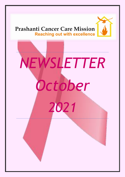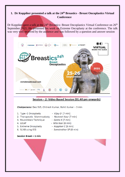## **1. Dr Koppiker presented a talk at the 24th Breastics - Breast Oncoplastics Virtual Conference**

Dr Koppiker gave a talk at the  $24<sup>th</sup>$  Breastics: Breast Oncoplastics Virtual Conference on  $26<sup>th</sup>$ September 2021. He presented his work on Extreme Oncoplasty at the conference. The talk was very well received by the audience and was followed by a question and answer session



## Session - 2: Video Based Session (01.40 pm onwards)

Chairpersons: Deo SVS, Chitresh Kumar, Rohit Kumar - 3 min

- 1. Type -1 Oncoplasty
- Vijay D (7 min)
- 2. Therapeutic Mammoplasty Navneet Kaur (7 min)
- 3. Roundblock Technique
- *Geeta K (7 min)*

- 4. LICAP
- 5. Extreme Oncoplasty
- 6. SLNB using ICG
- Nita Nair (8 min) - Koppiker C (8 min)
- Somshekhar SP (8 min)

#### Session Break  $-1$  min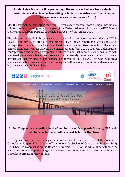## **2. Ms. Laleh Busheri will be presenting ' Breast cancer biobank from a single institutional cohort in an urban setting in India' at the Advanced Breast Cancer Sixth International Consensus Conference (ABC6)**

Ms. Busheri will be presenting the work 'Breast cancer biobank from a single institutional cohort in an urban setting in India' at part of the Patient Advocacy Program in ABC6 Virtual Conference at Lisbon, Portugal to be held between 4-6<sup>th</sup> November 2021.

The talk aims to highlight breast cancer database and tissue repository work done at CTCR-PCCM. The aim is to profile breast cancers in an Indian cohort, this work consists of retrospective cohort consented and annotated patient data and tissue samples collected and curated from breast cancer patients who visited our unit from 2010-2018. Ms. Laleh Busheri conceptualized and initiated this project with the vision that cancer tissue repositories with annotated patient data have been proven to be immensely important to understand cancer profiles and identify targeted and personalized therapies (eg. TCGA). This work will prove one such valuable resource within the country as well as globally to aid in understanding of breast cancer in an Indian cohort.



## **3. Dr. Koppiker is a 'co-editor in chief' for Journal of Oncoplastic Surgery, USA and will be contributing an editorial article for the first issue.**

Dr. Koppiker will be contributing an editorial article for the first issue of the Jounral of Oncoplastic Surgery, USA. It is an official journal for Society of Oncoplastic Surgery (SOS), CA, USA. Dr. Koppiker is on the Board of Directors, SOS. For the editorial he will describe his journey as an oncoplastic surgeon in a developing country and his views on the future of Oncoplastic Breast Surgery in India.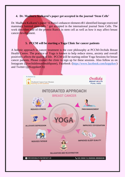#### **4. Dr. Madhura Kulkarni's paper got accepted in the journal 'Stem Cells'**

Dr. Madhura Kulkarni's paper 'A Runx1-enhancer element eR1 identified lineage restricted mammary luminal stem cells ' got accepted in the international journal Stem Cells. The work describes role of the protein Runx1 in stem cell as well as how it may affect breast cancer development.

#### **5. PCCM will be starting a Yoga Clinic for cancer patients**

A holistic approach to cancer treatment is the core philosophy at PCCM-Orchids Breast Health Centre. The practice of Yoga is known to help reduce stress, anxiety and overall positively affects the quality of life. PCCM will be starting online Yoga Sessions for breast cancer patients. Please contact the clinic to sign up for these sessions. Also follow us on Instagram (@orchidsbreasthealthpune), Facebook [\(https://www.facebook.com/koppiker/\)](https://www.facebook.com/koppiker/) and Twitter (@KoppikerCb)

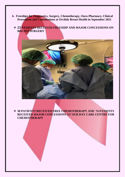- **6. Freeships for Diagnostics, Surgery, Chemotherapy, Onco-Pharmacy, Clinical Procedures and Consultations at Orchids Breast Health in September 2021**
	- ❖ **23 PATIENTS RECEIVED FREESHIP AND MAJOR CONCESSIONS ON BREAST SURGERY**



❖ **30 PATIENTS RECEIVED FREE CHEMOTHERAPY AND 74 PATIENTS RECEIVED MAJOR CONCESSIONS AT OUR DAY CARE CENTRE FOR CHEMOTHERAPY**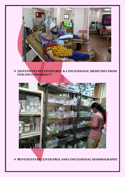

❖ **210 PATIENTS RECEIVED FREE & CONCESSIONAL MEDICINES FROM OUR ONCO-PHARMACY**



❖ **96 PATIENTS RECEIVED FREE AND CONCESSIONAL MAMMOGRAPHY**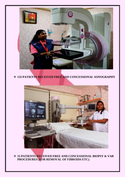

## ❖ **133 PATIENTS RECEIVED FREE AND CONCESSIONAL SONOGRAPHY**



❖ **15 PATIENTS RECEIVED FREE AND CONCESSIONAL BIOPSY & VAB PROCEDURES (FOR REMOVAL OF FIBROIDS ETC).**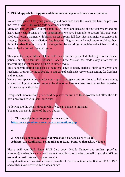#### **7. PCCM appeals for support and donations to help save breast cancer patients**

We are ever grateful for your generosity and donations over the years that have helped save the lives of over 1000 young girls & women annually.

Many of them are alive with their families & loved one because of your generosity and big heart. Last year, because of your contributions we have been able to successfully treat over 3000 unaffording women with breast cancer through full freeships and major concessions in surgery, chemotherapy, radiation, free biopsies, diagnostics and much more, enabling them through the bewildering maze of challenges the disease brings through its wake  $\&$  hand holding them to lead a normal life after cancer.

This year the unprecedented COVID-19 pandemic has presented challenges to the cancer patients and their families. Prashanti Cancer Care Mission has made every effort that no unaffording patient seeking our help is turned away.

This pandemic period has posed a huge challenge to needy patients, their care givers and Prashanti. We are striving to be able to take care of each and every woman coming for freeships and treatments.

We are now appealing to you for your support and generous donations, to help these young women battling with breast cancer to be able to get free treatment from us, so that no patient is turned away without help.

Every small amount from you would help save the lives of these women and allow them to live a healthy life with their loved ones.

Following are the details through which you can donate to Prashanti You may donate via either of the two options:

**1. Through the donation page on the website: <https://www.prashanticancercare.org/donations.php>**

**or**

## **2. Send us a cheque in favour of "Prashanti Cancer Care Mission" Address: 1,2 Kapilvastu, Senapati Bapat Road, Pune, Maharashtra 411016**

Please mail your Full Name, PAN Card copy, Mobile Number and Address proof to accounts@prashanticancercare.org so as to enable us to courier or email to you the 80G tax exemption certificate and donation receipt.

Every donation will receive a Receipt, benefit of Tax Deduction under 80G of IT Act 1961 and a Thank you Letter within a week or two.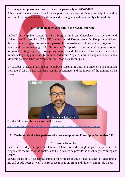For any queries, please feel free to contact me personally on 9850251000. A big thank you once again for all the support over the years. Without your help, it would be impossible to do what we do. God Bless and wishing you and your family a blessed life.

## **8. Testimonial by Surgeons in the M.Ch Program**

In 2017, Dr. Koppiker started the M.Ch Program in Breast Oncoplasty in association with University of East Anglia (UEA), UK. Having trained 500+ surgeons, Dr. Koppiker envisioned this structured program to teach and pass-on his expertise to budding young surgeons. It is based on the award winning UEA's 'Masters in Oncoplastic Breast Surgery' program designed to provide cutting-edge skills to aspiring surgeons and physicians. Three batches have been trained with young physicians from India, Indonesia, Nepal, Maldives, Bangladesh, Sri Lanka, Malaysia gaining hands-on experience in Oncoplastic techniques.

Dr. Jacobus, practising at Oncology Surabaya Hospital in East Java, Indonesia, is a graduate from the  $1<sup>st</sup>$  M.Ch batch and describes his experiences and the impact of the training on his career.



For the full video please access the link below:

[https://drive.google.com/drive/folders/1-QPP-d1z8mgFpwP1JqMBY8X9L6DZ\\_30e?usp=sharing](https://drive.google.com/drive/folders/1-QPP-d1z8mgFpwP1JqMBY8X9L6DZ_30e?usp=sharing)

#### **9. Testimonials of a few patients who were adopted for Freeship in September 2021**

#### **1. Shweta Kalanikar**

Since the first day I stepped into Orchids, I have not had a single negative experience. Dr. Koppiker is the finest of the doctors and the guidance he provides is absolutely reassuring and secure.

Special thanks to Dr. Chetan Deshmukh for being an absolute "Task Master' by attending all my call at odd hours as well. The response time is amazing and I know I am in safe hands.